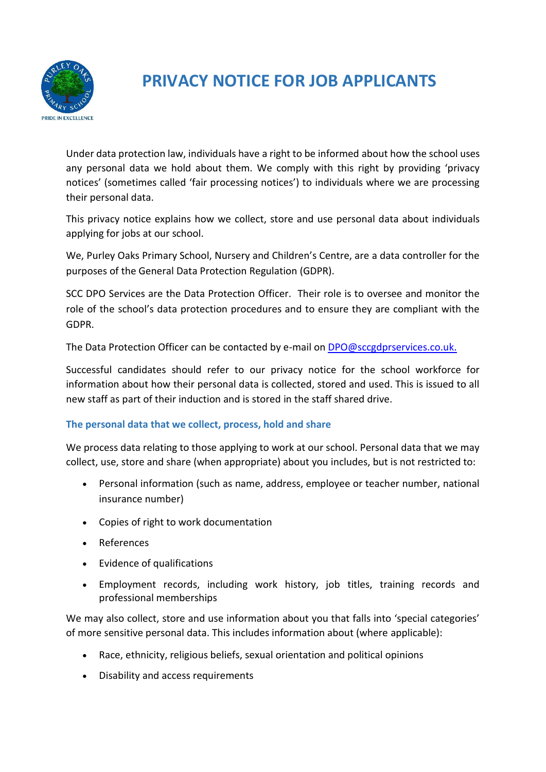

# **PRIVACY NOTICE FOR JOB APPLICANTS**

Under data protection law, individuals have a right to be informed about how the school uses any personal data we hold about them. We comply with this right by providing 'privacy notices' (sometimes called 'fair processing notices') to individuals where we are processing their personal data.

This privacy notice explains how we collect, store and use personal data about individuals applying for jobs at our school.

We, Purley Oaks Primary School, Nursery and Children's Centre, are a data controller for the purposes of the General Data Protection Regulation (GDPR).

SCC DPO Services are the Data Protection Officer. Their role is to oversee and monitor the role of the school's data protection procedures and to ensure they are compliant with the GDPR.

The Data Protection Officer can be contacted by e-mail o[n DPO@sccgdprservices.co.uk.](mailto:DPO@sccgdprservices.co.uk)

Successful candidates should refer to our privacy notice for the school workforce for information about how their personal data is collected, stored and used. This is issued to all new staff as part of their induction and is stored in the staff shared drive.

## **The personal data that we collect, process, hold and share**

We process data relating to those applying to work at our school. Personal data that we may collect, use, store and share (when appropriate) about you includes, but is not restricted to:

- Personal information (such as name, address, employee or teacher number, national insurance number)
- Copies of right to work documentation
- References
- Evidence of qualifications
- Employment records, including work history, job titles, training records and professional memberships

We may also collect, store and use information about you that falls into 'special categories' of more sensitive personal data. This includes information about (where applicable):

- Race, ethnicity, religious beliefs, sexual orientation and political opinions
- Disability and access requirements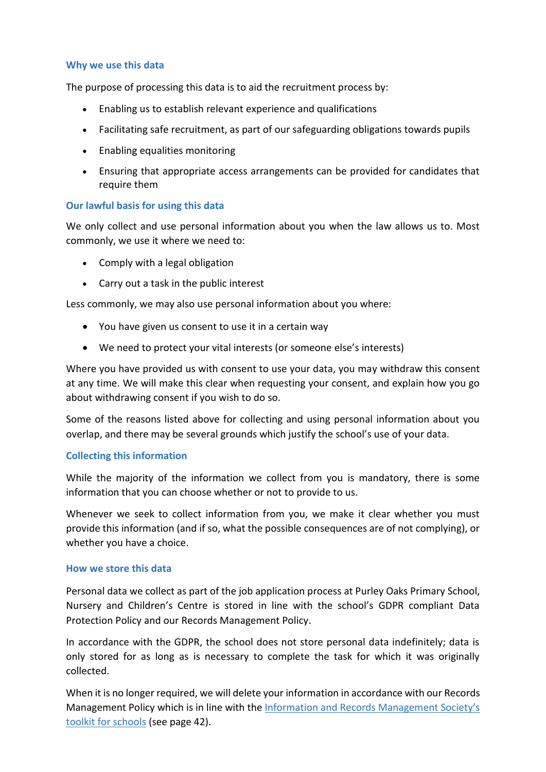### **Why we use this data**

The purpose of processing this data is to aid the recruitment process by:

- Enabling us to establish relevant experience and qualifications
- Facilitating safe recruitment, as part of our safeguarding obligations towards pupils
- Enabling equalities monitoring
- Ensuring that appropriate access arrangements can be provided for candidates that require them

### **Our lawful basis for using this data**

We only collect and use personal information about you when the law allows us to. Most commonly, we use it where we need to:

- Comply with a legal obligation
- Carry out a task in the public interest

Less commonly, we may also use personal information about you where:

- You have given us consent to use it in a certain way
- We need to protect your vital interests (or someone else's interests)

Where you have provided us with consent to use your data, you may withdraw this consent at any time. We will make this clear when requesting your consent, and explain how you go about withdrawing consent if you wish to do so.

Some of the reasons listed above for collecting and using personal information about you overlap, and there may be several grounds which justify the school's use of your data.

### **Collecting this information**

While the majority of the information we collect from you is mandatory, there is some information that you can choose whether or not to provide to us.

Whenever we seek to collect information from you, we make it clear whether you must provide this information (and if so, what the possible consequences are of not complying), or whether you have a choice.

### **How we store this data**

Personal data we collect as part of the job application process at Purley Oaks Primary School, Nursery and Children's Centre is stored in line with the school's GDPR compliant Data Protection Policy and our Records Management Policy.

In accordance with the GDPR, the school does not store personal data indefinitely; data is only stored for as long as is necessary to complete the task for which it was originally collected.

When it is no longer required, we will delete your information in accordance with our Records Management Policy which is in line with the [Information and Records Management Society's](http://irms.org.uk/?page=schoolstoolkit&terms=%22toolkit+and+schools%22)  [toolkit for schools](http://irms.org.uk/?page=schoolstoolkit&terms=%22toolkit+and+schools%22) (see page 42).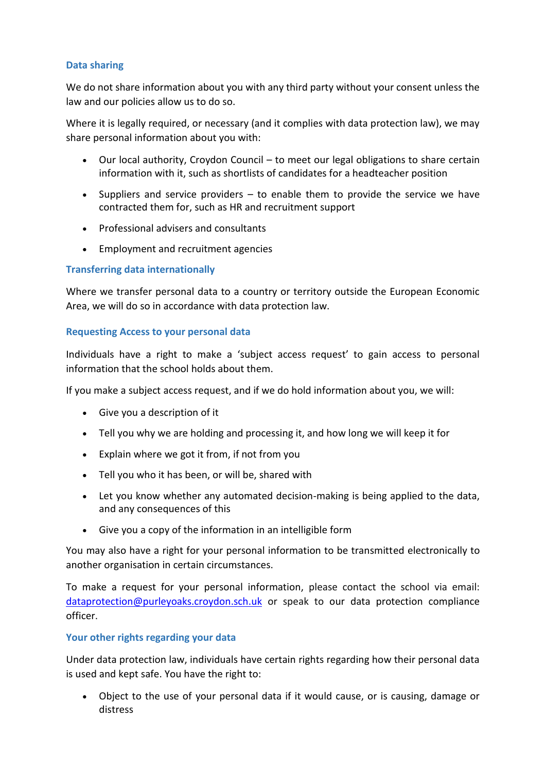## **Data sharing**

We do not share information about you with any third party without your consent unless the law and our policies allow us to do so.

Where it is legally required, or necessary (and it complies with data protection law), we may share personal information about you with:

- Our local authority, Croydon Council to meet our legal obligations to share certain information with it, such as shortlists of candidates for a headteacher position
- Suppliers and service providers  $-$  to enable them to provide the service we have contracted them for, such as HR and recruitment support
- Professional advisers and consultants
- Employment and recruitment agencies

### **Transferring data internationally**

Where we transfer personal data to a country or territory outside the European Economic Area, we will do so in accordance with data protection law.

### **Requesting Access to your personal data**

Individuals have a right to make a 'subject access request' to gain access to personal information that the school holds about them.

If you make a subject access request, and if we do hold information about you, we will:

- Give you a description of it
- Tell you why we are holding and processing it, and how long we will keep it for
- Explain where we got it from, if not from you
- Tell you who it has been, or will be, shared with
- Let you know whether any automated decision-making is being applied to the data, and any consequences of this
- Give you a copy of the information in an intelligible form

You may also have a right for your personal information to be transmitted electronically to another organisation in certain circumstances.

To make a request for your personal information, please contact the school via email: [dataprotection@purleyoaks.croydon.sch.uk](mailto:dataprotection@purleyoaks.croydon.sch.uk) or speak to our data protection compliance officer.

### **Your other rights regarding your data**

Under data protection law, individuals have certain rights regarding how their personal data is used and kept safe. You have the right to:

 Object to the use of your personal data if it would cause, or is causing, damage or distress